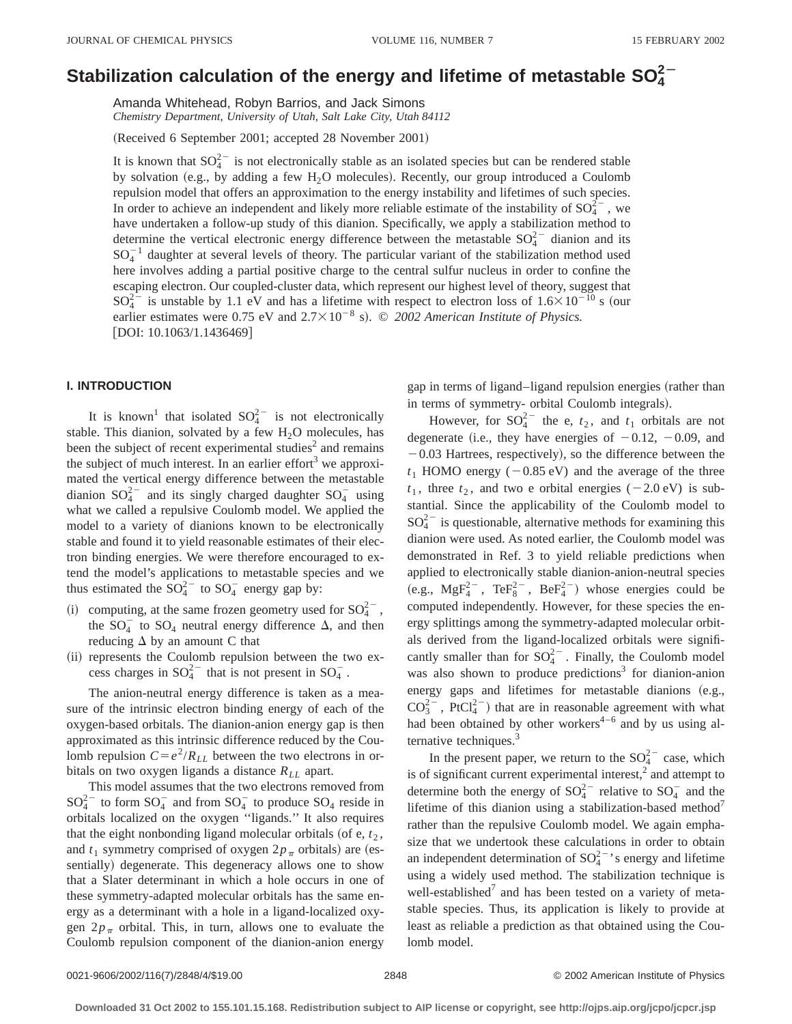# Stabilization calculation of the energy and lifetime of metastable  $\mathsf{SO}_4^{2-}$

Amanda Whitehead, Robyn Barrios, and Jack Simons *Chemistry Department, University of Utah, Salt Lake City, Utah 84112*

(Received 6 September 2001; accepted 28 November 2001)

It is known that  $SO_4^{2-}$  is not electronically stable as an isolated species but can be rendered stable by solvation (e.g., by adding a few  $H_2O$  molecules). Recently, our group introduced a Coulomb repulsion model that offers an approximation to the energy instability and lifetimes of such species. In order to achieve an independent and likely more reliable estimate of the instability of  $SO_4^{2-}$ , we have undertaken a follow-up study of this dianion. Specifically, we apply a stabilization method to determine the vertical electronic energy difference between the metastable  $SO_4^{2-}$  dianion and its  $SO_4^{-1}$  daughter at several levels of theory. The particular variant of the stabilization method used here involves adding a partial positive charge to the central sulfur nucleus in order to confine the escaping electron. Our coupled-cluster data, which represent our highest level of theory, suggest that  $SO_4^{2-}$  is unstable by 1.1 eV and has a lifetime with respect to electron loss of  $1.6 \times 10^{-10}$  s (our earlier estimates were 0.75 eV and  $2.7 \times 10^{-8}$  s). © 2002 American Institute of Physics. [DOI: 10.1063/1.1436469]

## **I. INTRODUCTION**

It is known<sup>1</sup> that isolated  $SO_4^{2-}$  is not electronically stable. This dianion, solvated by a few  $H<sub>2</sub>O$  molecules, has been the subject of recent experimental studies<sup>2</sup> and remains the subject of much interest. In an earlier effort<sup>3</sup> we approximated the vertical energy difference between the metastable dianion  $SO_4^{2-}$  and its singly charged daughter  $SO_4^-$  using what we called a repulsive Coulomb model. We applied the model to a variety of dianions known to be electronically stable and found it to yield reasonable estimates of their electron binding energies. We were therefore encouraged to extend the model's applications to metastable species and we thus estimated the  $SO_4^{2-}$  to  $SO_4^-$  energy gap by:

- (i) computing, at the same frozen geometry used for  $SO_4^{2-}$ , the  $SO_4^-$  to  $SO_4$  neutral energy difference  $\Delta$ , and then reducing  $\Delta$  by an amount C that
- (ii) represents the Coulomb repulsion between the two excess charges in  $SO_4^{2-}$  that is not present in  $SO_4^-$ .

The anion-neutral energy difference is taken as a measure of the intrinsic electron binding energy of each of the oxygen-based orbitals. The dianion-anion energy gap is then approximated as this intrinsic difference reduced by the Coulomb repulsion  $C = e^2/R_{LL}$  between the two electrons in orbitals on two oxygen ligands a distance  $R_{LL}$  apart.

This model assumes that the two electrons removed from  $SO_4^{2-}$  to form  $SO_4^-$  and from  $SO_4^-$  to produce  $SO_4$  reside in orbitals localized on the oxygen ''ligands.'' It also requires that the eight nonbonding ligand molecular orbitals (of  $e, t<sub>2</sub>$ , and  $t_1$  symmetry comprised of oxygen  $2p_\pi$  orbitals) are (essentially) degenerate. This degeneracy allows one to show that a Slater determinant in which a hole occurs in one of these symmetry-adapted molecular orbitals has the same energy as a determinant with a hole in a ligand-localized oxygen  $2p_\pi$  orbital. This, in turn, allows one to evaluate the Coulomb repulsion component of the dianion-anion energy gap in terms of ligand–ligand repulsion energies (rather than in terms of symmetry- orbital Coulomb integrals).

However, for  $SO_4^{2-}$  the e,  $t_2$ , and  $t_1$  orbitals are not degenerate (i.e., they have energies of  $-0.12$ ,  $-0.09$ , and  $-0.03$  Hartrees, respectively), so the difference between the  $t_1$  HOMO energy ( $-0.85$  eV) and the average of the three  $t_1$ , three  $t_2$ , and two e orbital energies (-2.0 eV) is substantial. Since the applicability of the Coulomb model to  $SO_4^{2-}$  is questionable, alternative methods for examining this dianion were used. As noted earlier, the Coulomb model was demonstrated in Ref. 3 to yield reliable predictions when applied to electronically stable dianion-anion-neutral species (e.g.,  $MgF_4^{2-}$ ,  $TeF_8^{2-}$ ,  $BeF_4^{2-}$ ) whose energies could be computed independently. However, for these species the energy splittings among the symmetry-adapted molecular orbitals derived from the ligand-localized orbitals were significantly smaller than for  $SO_4^{2-}$ . Finally, the Coulomb model was also shown to produce predictions<sup>3</sup> for dianion-anion energy gaps and lifetimes for metastable dianions  $(e.g.,)$  $CO_3^{2-}$ , PtCl<sub>4</sub><sup>2</sup>) that are in reasonable agreement with what had been obtained by other workers $4-6$  and by us using alternative techniques.<sup>3</sup>

In the present paper, we return to the  $SO_4^{2-}$  case, which is of significant current experimental interest, $2$  and attempt to determine both the energy of  $SO_4^{2-}$  relative to  $SO_4^-$  and the lifetime of this dianion using a stabilization-based method<sup>7</sup> rather than the repulsive Coulomb model. We again emphasize that we undertook these calculations in order to obtain an independent determination of  $SO_4^{2-}$ 's energy and lifetime using a widely used method. The stabilization technique is well-established $<sup>7</sup>$  and has been tested on a variety of meta-</sup> stable species. Thus, its application is likely to provide at least as reliable a prediction as that obtained using the Coulomb model.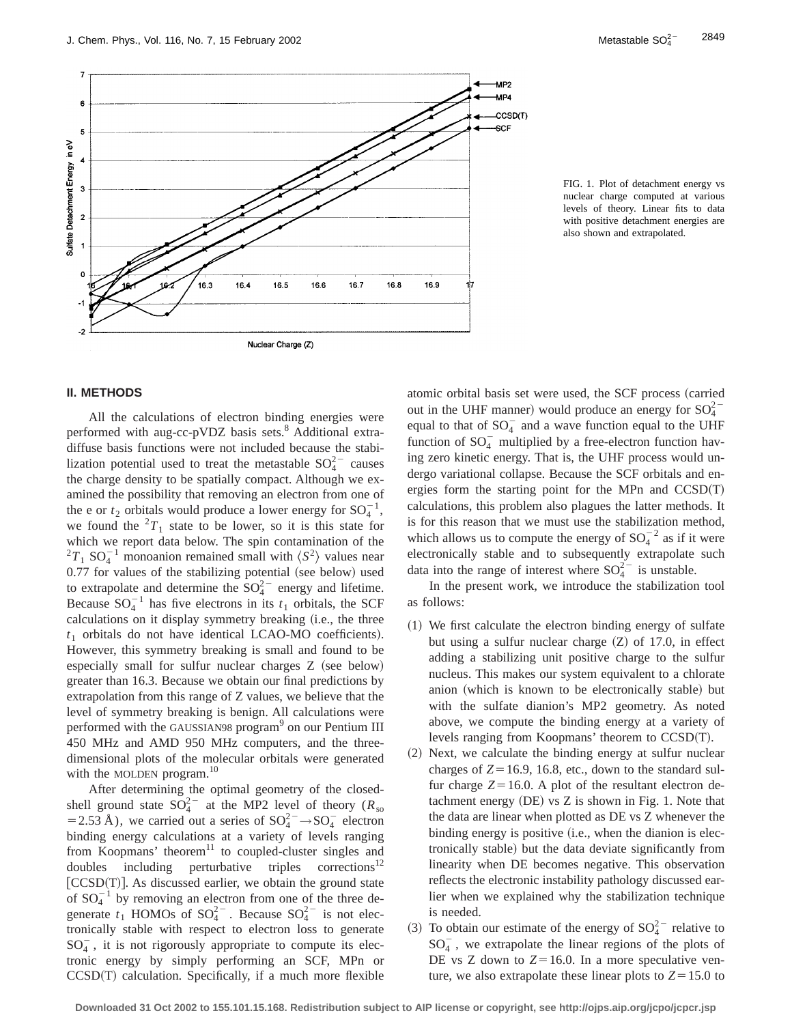

FIG. 1. Plot of detachment energy vs nuclear charge computed at various levels of theory. Linear fits to data with positive detachment energies are also shown and extrapolated.

## **II. METHODS**

All the calculations of electron binding energies were performed with aug-cc-pVDZ basis sets.<sup>8</sup> Additional extradiffuse basis functions were not included because the stabilization potential used to treat the metastable  $SO_4^{2-}$  causes the charge density to be spatially compact. Although we examined the possibility that removing an electron from one of the e or  $t_2$  orbitals would produce a lower energy for  $SO_4^{-1}$ , we found the  ${}^{2}T_{1}$  state to be lower, so it is this state for which we report data below. The spin contamination of the  ${}^{2}T_{1}$  SO<sub>4</sub><sup>-1</sup> monoanion remained small with  $\langle S^{2} \rangle$  values near  $0.77$  for values of the stabilizing potential (see below) used to extrapolate and determine the  $SO_4^{2-}$  energy and lifetime. Because  $SO_4^{-1}$  has five electrons in its  $t_1$  orbitals, the SCF calculations on it display symmetry breaking (i.e., the three  $t_1$  orbitals do not have identical LCAO-MO coefficients). However, this symmetry breaking is small and found to be especially small for sulfur nuclear charges  $Z$  (see below) greater than 16.3. Because we obtain our final predictions by extrapolation from this range of Z values, we believe that the level of symmetry breaking is benign. All calculations were performed with the GAUSSIAN98 program<sup>9</sup> on our Pentium III 450 MHz and AMD 950 MHz computers, and the threedimensional plots of the molecular orbitals were generated with the MOLDEN program.<sup>10</sup>

After determining the optimal geometry of the closedshell ground state  $SO_4^{2-}$  at the MP2 level of theory ( $R_{so}$ )  $= 2.53 \text{ Å}$ ), we carried out a series of  $SO_4^{2-} \rightarrow SO_4^{-}$  electron binding energy calculations at a variety of levels ranging from Koopmans' theorem $11$  to coupled-cluster singles and doubles including perturbative triples corrections<sup>12</sup>  $|CCSD(T)|$ . As discussed earlier, we obtain the ground state of  $SO_4^{-1}$  by removing an electron from one of the three degenerate  $t_1$  HOMOs of  $SO_4^{2-}$ . Because  $SO_4^{2-}$  is not electronically stable with respect to electron loss to generate  $SO_4^-$ , it is not rigorously appropriate to compute its electronic energy by simply performing an SCF, MPn or  $CCSD(T)$  calculation. Specifically, if a much more flexible atomic orbital basis set were used, the SCF process (carried out in the UHF manner) would produce an energy for  $SO_4^{2-}$ equal to that of  $SO_4^-$  and a wave function equal to the UHF function of  $SO_4^-$  multiplied by a free-electron function having zero kinetic energy. That is, the UHF process would undergo variational collapse. Because the SCF orbitals and energies form the starting point for the MPn and  $CCSD(T)$ calculations, this problem also plagues the latter methods. It is for this reason that we must use the stabilization method, which allows us to compute the energy of  $SO_4^{-2}$  as if it were electronically stable and to subsequently extrapolate such data into the range of interest where  $SO_4^{2-}$  is unstable.

In the present work, we introduce the stabilization tool as follows:

- $(1)$  We first calculate the electron binding energy of sulfate but using a sulfur nuclear charge  $(Z)$  of 17.0, in effect adding a stabilizing unit positive charge to the sulfur nucleus. This makes our system equivalent to a chlorate anion (which is known to be electronically stable) but with the sulfate dianion's MP2 geometry. As noted above, we compute the binding energy at a variety of levels ranging from Koopmans' theorem to  $CCSD(T)$ .
- $(2)$  Next, we calculate the binding energy at sulfur nuclear charges of  $Z=16.9$ , 16.8, etc., down to the standard sulfur charge  $Z=16.0$ . A plot of the resultant electron detachment energy  $(DE)$  vs  $Z$  is shown in Fig. 1. Note that the data are linear when plotted as DE vs Z whenever the binding energy is positive (i.e., when the dianion is electronically stable) but the data deviate significantly from linearity when DE becomes negative. This observation reflects the electronic instability pathology discussed earlier when we explained why the stabilization technique is needed.
- (3) To obtain our estimate of the energy of  $SO_4^{2-}$  relative to  $SO_4^-$ , we extrapolate the linear regions of the plots of DE vs Z down to  $Z=16.0$ . In a more speculative venture, we also extrapolate these linear plots to  $Z = 15.0$  to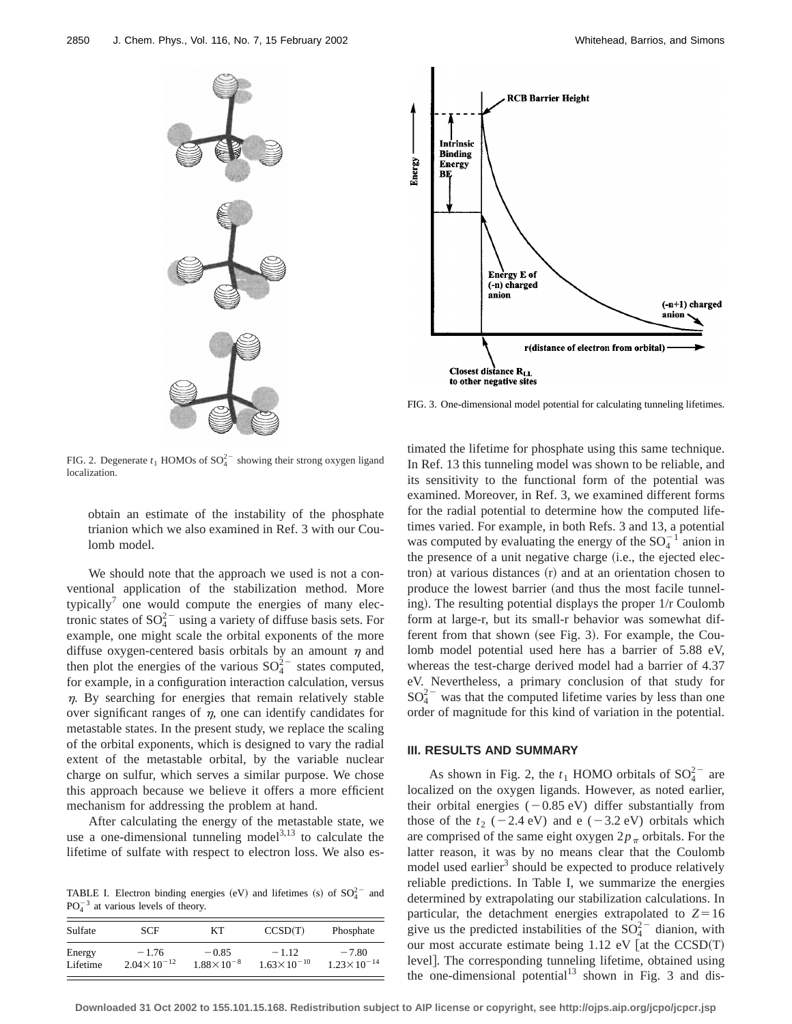



FIG. 3. One-dimensional model potential for calculating tunneling lifetimes.

FIG. 2. Degenerate  $t_1$  HOMOs of  $SO_4^{2-}$  showing their strong oxygen ligand localization.

obtain an estimate of the instability of the phosphate trianion which we also examined in Ref. 3 with our Coulomb model.

We should note that the approach we used is not a conventional application of the stabilization method. More typically<sup>7</sup> one would compute the energies of many electronic states of  $SO_4^{2-}$  using a variety of diffuse basis sets. For example, one might scale the orbital exponents of the more diffuse oxygen-centered basis orbitals by an amount  $\eta$  and then plot the energies of the various  $SO_4^{2-}$  states computed, for example, in a configuration interaction calculation, versus  $\eta$ . By searching for energies that remain relatively stable over significant ranges of  $\eta$ , one can identify candidates for metastable states. In the present study, we replace the scaling of the orbital exponents, which is designed to vary the radial extent of the metastable orbital, by the variable nuclear charge on sulfur, which serves a similar purpose. We chose this approach because we believe it offers a more efficient mechanism for addressing the problem at hand.

After calculating the energy of the metastable state, we use a one-dimensional tunneling model $3,13$  to calculate the lifetime of sulfate with respect to electron loss. We also es-

TABLE I. Electron binding energies (eV) and lifetimes (s) of  $SO_4^{2-}$  and  $PO<sub>4</sub><sup>-3</sup>$  at various levels of theory.

| Sulfate  | <b>SCF</b>             | KТ                    | CCSD(T)                | Phosphate              |
|----------|------------------------|-----------------------|------------------------|------------------------|
| Energy   | $-1.76$                | $-0.85$               | $-1.12$                | $-7.80$                |
| Lifetime | $2.04 \times 10^{-12}$ | $1.88 \times 10^{-8}$ | $1.63 \times 10^{-10}$ | $1.23 \times 10^{-14}$ |

timated the lifetime for phosphate using this same technique. In Ref. 13 this tunneling model was shown to be reliable, and its sensitivity to the functional form of the potential was examined. Moreover, in Ref. 3, we examined different forms for the radial potential to determine how the computed lifetimes varied. For example, in both Refs. 3 and 13, a potential was computed by evaluating the energy of the  $SO_4^{-1}$  anion in the presence of a unit negative charge (i.e., the ejected elec $tron$ ) at various distances  $(r)$  and at an orientation chosen to produce the lowest barrier (and thus the most facile tunneling). The resulting potential displays the proper 1/r Coulomb form at large-r, but its small-r behavior was somewhat different from that shown (see Fig. 3). For example, the Coulomb model potential used here has a barrier of 5.88 eV, whereas the test-charge derived model had a barrier of 4.37 eV. Nevertheless, a primary conclusion of that study for  $SO_4^{2-}$  was that the computed lifetime varies by less than one order of magnitude for this kind of variation in the potential.

#### **III. RESULTS AND SUMMARY**

As shown in Fig. 2, the  $t_1$  HOMO orbitals of  $SO_4^{2-}$  are localized on the oxygen ligands. However, as noted earlier, their orbital energies  $(-0.85 \text{ eV})$  differ substantially from those of the  $t_2$  (-2.4 eV) and e (-3.2 eV) orbitals which are comprised of the same eight oxygen  $2p_\pi$  orbitals. For the latter reason, it was by no means clear that the Coulomb model used earlier<sup>3</sup> should be expected to produce relatively reliable predictions. In Table I, we summarize the energies determined by extrapolating our stabilization calculations. In particular, the detachment energies extrapolated to  $Z=16$ give us the predicted instabilities of the  $SO_4^{2-}$  dianion, with our most accurate estimate being  $1.12$  eV [at the CCSD(T) level]. The corresponding tunneling lifetime, obtained using the one-dimensional potential $13$  shown in Fig. 3 and dis